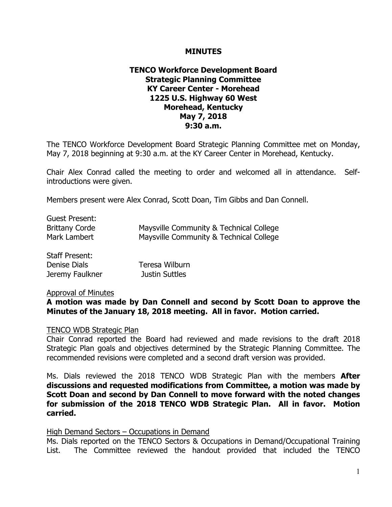#### **MINUTES**

### **TENCO Workforce Development Board Strategic Planning Committee KY Career Center - Morehead 1225 U.S. Highway 60 West Morehead, Kentucky May 7, 2018 9:30 a.m.**

The TENCO Workforce Development Board Strategic Planning Committee met on Monday, May 7, 2018 beginning at 9:30 a.m. at the KY Career Center in Morehead, Kentucky.

Chair Alex Conrad called the meeting to order and welcomed all in attendance. Selfintroductions were given.

Members present were Alex Conrad, Scott Doan, Tim Gibbs and Dan Connell.

| <b>Guest Present:</b> |                                         |
|-----------------------|-----------------------------------------|
| <b>Brittany Corde</b> | Maysville Community & Technical College |
| Mark Lambert          | Maysville Community & Technical College |
| <b>Staff Present:</b> |                                         |
| Denise Dials          | Teresa Wilburn                          |

#### Approval of Minutes

**A motion was made by Dan Connell and second by Scott Doan to approve the Minutes of the January 18, 2018 meeting. All in favor. Motion carried.**

#### TENCO WDB Strategic Plan

Jeremy Faulkner Justin Suttles

Chair Conrad reported the Board had reviewed and made revisions to the draft 2018 Strategic Plan goals and objectives determined by the Strategic Planning Committee. The recommended revisions were completed and a second draft version was provided.

Ms. Dials reviewed the 2018 TENCO WDB Strategic Plan with the members **After discussions and requested modifications from Committee, a motion was made by Scott Doan and second by Dan Connell to move forward with the noted changes for submission of the 2018 TENCO WDB Strategic Plan. All in favor. Motion carried.**

#### High Demand Sectors – Occupations in Demand

Ms. Dials reported on the TENCO Sectors & Occupations in Demand/Occupational Training List. The Committee reviewed the handout provided that included the TENCO